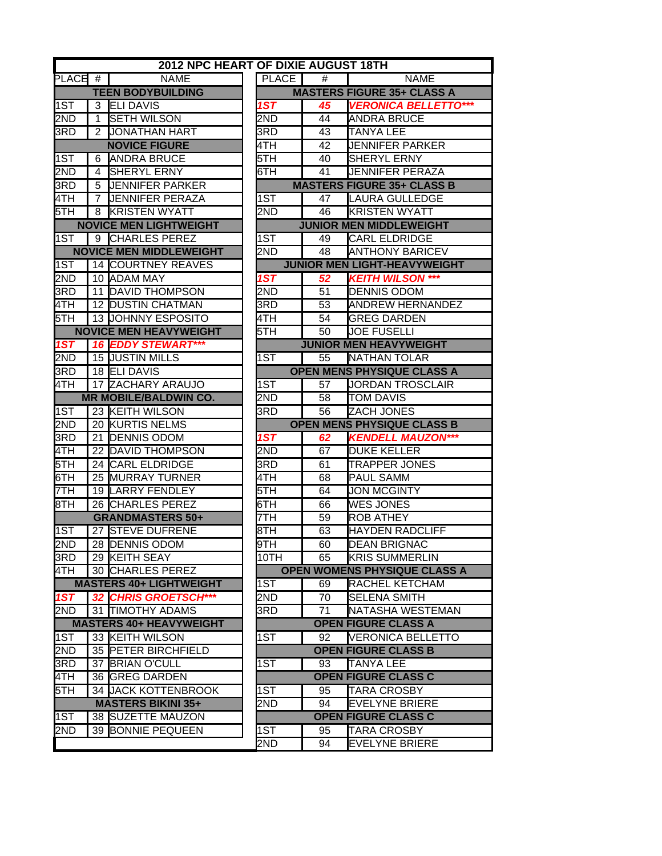|       |                | 2012 NPC HEART OF DIXIE AUGUST 18TH |                  |    |                                     |
|-------|----------------|-------------------------------------|------------------|----|-------------------------------------|
| PLACE | #              | <b>NAME</b>                         | PLACE            | #  | <b>NAME</b>                         |
|       |                | <b>TEEN BODYBUILDING</b>            |                  |    | <b>MASTERS FIGURE 35+ CLASS A</b>   |
| 1ST   |                | 3 ELI DAVIS                         | 1ST              | 45 | <b>VERONICA BELLETTO***</b>         |
| 2ND   | 1              | <b>SETH WILSON</b>                  | 2ND              | 44 | <b>ANDRA BRUCE</b>                  |
| 3RD   | $\overline{2}$ | <b>JONATHAN HART</b>                | 3RD              | 43 | <b>TANYA LEE</b>                    |
|       |                | <b>NOVICE FIGURE</b>                | 4TH              | 42 | <b>JENNIFER PARKER</b>              |
| 1ST   | 6              | <b>ANDRA BRUCE</b>                  | 5TH              | 40 | <b>SHERYL ERNY</b>                  |
| 2ND   | 4              | SHERYL ERNY                         | 6TH              | 41 | <b>JENNIFER PERAZA</b>              |
| 3RD   | 5              | <b>JENNIFER PARKER</b>              |                  |    | <b>MASTERS FIGURE 35+ CLASS B</b>   |
| 4TH   | 7              | <b>JENNIFER PERAZA</b>              | $\overline{1ST}$ | 47 | <b>LAURA GULLEDGE</b>               |
| 5TH   | 8              | <b>KRISTEN WYATT</b>                | 2ND              | 46 | <b>KRISTEN WYATT</b>                |
|       |                | <b>NOVICE MEN LIGHTWEIGHT</b>       |                  |    | <b>JUNIOR MEN MIDDLEWEIGHT</b>      |
| 1ST   |                | 9 CHARLES PEREZ                     | 1ST              | 49 | <b>CARL ELDRIDGE</b>                |
|       |                | <b>NOVICE MEN MIDDLEWEIGHT</b>      | 2ND              | 48 | <b>ANTHONY BARICEV</b>              |
| 1ST   |                | 14 COURTNEY REAVES                  |                  |    | <b>JUNIOR MEN LIGHT-HEAVYWEIGHT</b> |
| 2ND   |                | 10 ADAM MAY                         | $\overline{1ST}$ | 52 | <b>KEITH WILSON ***</b>             |
| 3RD   |                | 11 DAVID THOMPSON                   | 2ND              | 51 | <b>DENNIS ODOM</b>                  |
| 4TH   |                | <b>12 DUSTIN CHATMAN</b>            | 3RD              | 53 | <b>ANDREW HERNANDEZ</b>             |
| 5TH   |                | 13 JOHNNY ESPOSITO                  | 4TH              | 54 | <b>GREG DARDEN</b>                  |
|       |                | <b>NOVICE MEN HEAVYWEIGHT</b>       | 5TH              | 50 | <b>JOE FUSELLI</b>                  |
| 1ST   |                | <b>16 EDDY STEWART***</b>           |                  |    | <b>JUNIOR MEN HEAVYWEIGHT</b>       |
| 2ND   |                | 15 JUSTIN MILLS                     | 1ST              | 55 | <b>NATHAN TOLAR</b>                 |
| 3RD   |                | 18 ELI DAVIS                        |                  |    | <b>OPEN MENS PHYSIQUE CLASS A</b>   |
| 4TH   |                | 17 ZACHARY ARAUJO                   | 1ST              | 57 | JORDAN TROSCLAIR                    |
|       |                | <b>MR MOBILE/BALDWIN CO.</b>        | 2ND              | 58 | <b>TOM DAVIS</b>                    |
| 1ST   |                | 23 KEITH WILSON                     | 3RD              | 56 | ZACH JONES                          |
| 2ND   |                | 20 KURTIS NELMS                     |                  |    | <b>OPEN MENS PHYSIQUE CLASS B</b>   |
| 3RD   |                | 21 DENNIS ODOM                      | 1ST              | 62 | <b>KENDELL MAUZON***</b>            |
| 4TH   |                | 22 DAVID THOMPSON                   | 2ND              | 67 | <b>DUKE KELLER</b>                  |
| 5TH   |                | 24 CARL ELDRIDGE                    | 3RD              | 61 | <b>TRAPPER JONES</b>                |
| 6TH   |                | 25 MURRAY TURNER                    | 4TH              | 68 | <b>PAUL SAMM</b>                    |
| 7TH   |                | 19 LARRY FENDLEY                    | 5TH              | 64 | <b>JON MCGINTY</b>                  |
| 8TH   |                | 26 CHARLES PEREZ                    | 6TH              | 66 | <b>WES JONES</b>                    |
|       |                | <b>GRANDMASTERS 50+</b>             | 7TH              | 59 | <b>ROB ATHEY</b>                    |
| 1ST   |                | 27 STEVE DUFRENE                    | 8TH              | 63 | <b>HAYDEN RADCLIFF</b>              |
| 2ND   |                | 28 DENNIS ODOM                      | 9TH              | 60 | <b>DEAN BRIGNAC</b>                 |
| 3RD   |                | 29 KEITH SEAY                       | 10TH             | 65 | <b>KRIS SUMMERLIN</b>               |
| 4TH   |                | 30 CHARLES PEREZ                    |                  |    | <b>OPEN WOMENS PHYSIQUE CLASS A</b> |
|       |                | <b>MASTERS 40+ LIGHTWEIGHT</b>      | 1ST              | 69 | RACHEL KETCHAM                      |
| 1ST   |                | 32 CHRIS GROETSCH***                | 2ND              | 70 | SELENA SMITH                        |
| 2ND   |                | 31 TIMOTHY ADAMS                    | 3RD.             | 71 | NATASHA WESTEMAN                    |
|       |                | <b>MASTERS 40+ HEAVYWEIGHT</b>      |                  |    | <b>OPEN FIGURE CLASS A</b>          |
| 1ST   |                | 33 KEITH WILSON                     | 1ST              | 92 | VERONICA BELLETTO                   |
| 2ND   |                | 35 PETER BIRCHFIELD                 |                  |    | <b>OPEN FIGURE CLASS B</b>          |
| 3RD   |                | 37 BRIAN O'CULL                     | 1ST              | 93 | <b>TANYA LEE</b>                    |
| 4TH   |                | 36 GREG DARDEN                      |                  |    | <b>OPEN FIGURE CLASS C</b>          |
| 5TH   |                | 34 JJACK KOTTENBROOK                | 1ST              | 95 | TARA CROSBY                         |
|       |                | <b>MASTERS BIKINI 35+</b>           | 2ND.             | 94 | EVELYNE BRIERE                      |
| 1ST   |                | 38 SUZETTE MAUZON                   |                  |    | <b>OPEN FIGURE CLASS C</b>          |
| 2ND   |                | 39 BONNIE PEQUEEN                   | 1ST              | 95 | <b>TARA CROSBY</b>                  |
|       |                |                                     | 2ND              | 94 | <b>EVELYNE BRIERE</b>               |